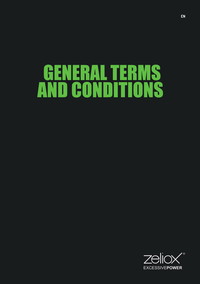# GENERALTERMS AND CONDITIONS

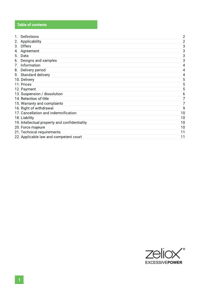## **Table of contents**

| Definitions                                   | $\overline{2}$ |
|-----------------------------------------------|----------------|
| Applicability<br>2.                           | $\overline{2}$ |
| Offers<br>3.                                  | 3              |
| Agreement<br>4.                               | 3              |
| Data<br>5.                                    | 3              |
| Designs and samples<br>6.                     | 3              |
| Information<br>7.                             | 4              |
| 8. Delivery period                            | 4              |
| 9. Standard delivery                          | 4              |
| 10. Delivery                                  | 5              |
| 11. Prices                                    | 5              |
| 12. Payment                                   | 5              |
| 13. Suspension / dissolution                  | 6              |
| 14. Retention of title                        | 7              |
| 15. Warranty and complaints                   | 7              |
| 16. Right of withdrawal                       | 9              |
| 17. Cancellation and indemnification          | 10             |
| 18. Liability                                 | 10             |
| 19. Intellectual property and confidentiality | 10             |
| 20. Force majeure                             | 10             |
| 21. Technical requirements                    | 11             |
| 22. Applicable law and competent court        | 11             |

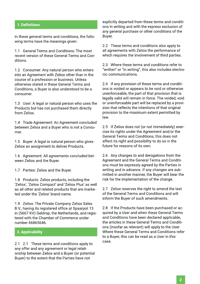#### 1. Definitions

In these general terms and conditions, the following terms have the meanings given:

1.1 General Terms and Conditions: The most recent version of these General Terms and Conditions

1.2 Consumer: Any natural person who enters into an Agreement with Zeliox other than in the course of a profession or business. Unless otherwise stated in these General Terms and Conditions, a Buver is also understood to be a consumer

1.3 User: A legal or natural person who uses the Products but has not purchased them directly from Zeliox

1.4 Trade Agreement: An Agreement concluded between Zeliox and a Buver who is not a Consumer.

1.5 Buver: A legal or natural person who gives Zeliox an assignment to deliver Products.

1.6 Agreement: All agreements concluded between Zeliox and the Buver.

1.7 Parties: Zeliox and the Buyer.

1.8 Products: Zeliox products, including the 'Zeliox', 'Zeliox Compact' and 'Zeliox Plus' as well as all other and related products that are marketed under the 'Zeliox' brand name

1.9 Zeliox: The Private Company Zeliox Sales B.V., having its registered office at Spaarpot 13 in (5667 KV) Geldrop, the Netherlands, and registered with the Chamber of Commerce under number 66865646

#### 2. Applicability

2.1 2.1 These terms and conditions apply to any offer and any agreement or legal relationship between Zeliox and a Buyer (or potential Buver) to the extent that the Parties have not

explicitly departed from these terms and conditions in writing and with the express exclusion of any general purchase or other conditions of the Buver.

2.2 These terms and conditions also apply to all agreements with Zeliox the performance of which requires the involvement of third parties.

2.3 Where these terms and conditions refer to "written" or "in writing", this also includes electronic communications.

2.4 If any provision of these terms and conditions is voided or appears to be void or otherwise unenforceable, the part of that provision that is legally valid will remain in force. The voided, void or unenforceable part will be replaced by a provision that reflects the intentions of that original provision to the maximum extent permitted by law.

2.5 If Zeliox does not (or not immediately) exercise its rights under the Agreement and/or the General Terms and Conditions, this does not affect its right and possibility to do so in the future for reasons of its own.

2.6 Any changes to and derogations from the Agreement and the General Terms and Conditions must be expressly agreed by the Parties in writing and in advance. If any changes are submitted in another manner, the Buver will bear the risk for the implementation of the change.

2.7 Zeliox reserves the right to amend the text of the General Terms and Conditions and will inform the Buver of such amendments.

2.8 If the Products have been purchased or acquired by a User and when these General Terms and Conditions have been declared applicable. the articles in these General Terms and Conditions (insofar as relevant) will apply to the User. Where these General Terms and Conditions refer to a Buver, this can be read as a User in this case.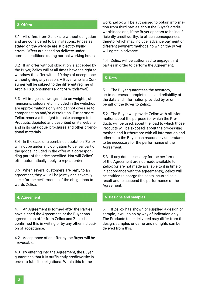#### **3.Offers**

3.1 All offers from Zeliox are without obligation and are considered to be invitations. Prices as stated on the website are subiect to typing errors. Offers are based on delivery under normal conditions during normal working hours.

3.2 If an offer without obligation is accepted by the Buyer, Zeliox will at all times have the right to withdraw the offer within 10 days of acceptance, without giving any reason. A Buyer who is a Consumer will be subiect to the different regime of Article 18 (Consumer's Right of Withdrawal).

3.3 All images, drawings, data on weights, dimensions, colours, etc. included in the webshop are approximations only and cannot give rise to compensation and/or dissolution. Furthermore, Zeliox reserves the right to make changes to its Products, depicted and described on its website and in its catalogue, brochures and other promotional materials

3.4 In the case of a combined quotation, Zeliox will not be under any obligation to deliver part of the goods included in the offer at a corresponding part of the price specified. Nor will Zeliox' offer automatically apply to repeat orders.

3.5 When several customers are party to an agreement, they will all be jointly and severally liable for the performance of the obligations towards Zeliox.

4.1 An Agreement is formed after the Parties have signed the Agreement, or the Buyer has agreed to an offer from Zeliox and Zeliox has confirmed this in writing or by any other indication of acceptance.

4.2 Acceptance of an offer by the Buyer will be irrevocable.

4.3 By entering into the Agreement, the Buyer guarantees that it is sufficiently creditworthy in order to fulfil its obligations. Within this frame-

work, Zeliox will be authorised to obtain information from third parties about the Buyer's creditworthiness and, if the Buver appears to be insufficiently creditworthy, to attach consequences thereto, which may include: advance payment or different payment methods, to which the Buyer will agree in advance.

4.4 Zeliox will be authorised to engage third parties in order to perform the Agreement.

#### **5.Data**

5.1 The Buyer quarantees the accuracy, up-to-dateness, completeness and reliability of the data and information provided by or on behalf of the Buyer to Zeliox.

5.2 The Buyer will provide Zeliox with all information about the purpose for which the Products will be used, about the load to which those Products will be exposed, about the processing method and furthermore with all information and other data the Buyer can reasonably understand to be necessary for the performance of the Agreement.

5.3 If any data necessary for the performance of the Agreement are not made available to Zeliox (or are not made available to it in time or in accordance with the agreements), Zeliox will be entitled to charge the costs incurred as a result and to suspend the performance of the Agreement.

#### **4. Agreement 6. Designs and samples**

6.1 If Zeliox has shown or supplied a design or sample, it will do so by way of indication only. The Products to be delivered may differ from the design, samples or demo and no rights can be derived from this.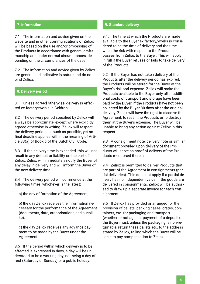#### **7.Information**

7.1 The information and advice given on the website and in other communications of Zeliox will be based on the use and/or processing of the Products in accordance with general craftsmanship and under normal circumstances, depending on the circumstances of the case.

7.2 The information and advice given by Zeliox are general and indicative in nature and do not bind Zeliox.

#### **8. Delivery period**

8.1 Unless agreed otherwise, delivery is effected ex factory/works in Geldrop.

8.2 The delivery period specified by Zeliox will always be approximate, except where explicitly agreed otherwise in writing. Zeliox will respect the delivery period as much as possible, yet no final deadline applies within the meaning of Article 83(a) of Book 6 of the Dutch Civil Code.

8.3 If the delivery time is exceeded, this will not result in any default or liability on the part of Zeliox. Zeliox will immediately notify the Buyer of any delay in delivery and will inform the Buyer of the new delivery time.

8.4 The delivery period will commence at the following times, whichever is the latest:

a) the day of formation of the Agreement;

b) the day Zeliox receives the information necessary for the performance of the Agreement (documents, data, authorisations and suchlike);

c) the day Zeliox receives any advance payment to be made by the Buyer under the Agreement.

8.5 If the period within which delivery is to be effected is expressed in days, a day will be understood to be a working day, not being a day of rest (Saturday or Sunday) or a public holiday.

#### **9. Standard delivery**

9.1. The time at which the Products are made available to the Buver ex factory/works is considered to be the time of delivery and the time when the risk with respect to the Products passes from Zeliox to the Buver. This will apply in full if the Buyer refuses or fails to take delivery of the Products.

9.2 If the Buyer has not taken delivery of the Products after the delivery period has expired. the Products will be stored for the Buyer at the Buyer's risk and expense. Zeliox will make the Products available to the Buyer only after additional costs of transport and storage have been paid by the Buyer. If the Products have not been collected by the Buyer 30 days after the original delivery, Zeliox will have the right to dissolve the Agreement, to resell the Products or to destroy them at the Buyer's expense. The Buyer will be unable to bring any action against Zeliox in this respect.

9.3 A consignment note, delivery note or similar document provided upon delivery of the Products will serve as proof of delivery of the Products mentioned therein

9.4 Zeliox is permitted to deliver Products that are part of the Agreement in consignments (partial deliveries). This does not apply if a partial delivery has no independent value. If the goods are delivered in consignments, Zeliox will be authorised to draw up a separate invoice for each consignment.

9.5 If Zeliox has provided or arranged for the provision of pallets, packing cases, crates, containers, etc. for packaging and transport (whether or not against payment of a deposit), the Buyer must, unless the packaging is non-returnable, return these pallets etc. to the address stated by Zeliox, failing which the Buyer will be liable to pay compensation to Zeliox.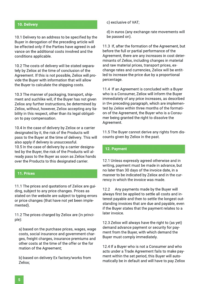### **10.Delivery**

10.1 Delivery to an address to be specified by the Buyer in derogation of the preceding article will be effected only if the Parties have agreed in advance on the additional costs involved and the conditions applicable.

10.2 The costs of delivery will be stated separately by Zeliox at the time of conclusion of the Agreement. If this is not possible, Zeliox will provide the Buver with information that will allow the Buyer to calculate the shipping costs.

10.3 The manner of packaging, transport, shipment and suchlike will, if the Buyer has not given Zeliox any further instructions, be determined by Zeliox, without, however, Zeliox accepting any liability in this respect, other than its legal obligation to pay compensation.

10.4 In the case of delivery by Zeliox or a carrier designated by it, the risk of the Products will pass to the Buyer at the time of delivery. This will also apply if delivery is unsuccessful. 10.5 In the case of delivery by a carrier designated by the Buyer, the risk of the Products will already pass to the Buyer as soon as Zeliox hands over the Products to this designated carrier.

#### **11.Prices**

11.1 The prices and quotations of Zeliox are guiding, subject to any price changes. Prices as stated on the website are subject to typing errors or price changes (that have not yet been implemented).

11.2 The prices charged by Zeliox are (in principle):

a) based on the purchase prices, wages, wage costs, social insurance and government charges, freight charges, insurance premiums and other costs at the time of the offer or the for mation of the Agreement;

b) based on delivery Ex factory/works from Zeliox;

c) exclusive of VAT;

d) in euros (any exchange rate movements will be passed on).

11.3 If, after the formation of the Agreement, but before the full or partial performance of the Agreement, there are any increases in cost determinants of Zeliox, including changes in material and raw material prices, transport prices, exchange rates and currencies, Zeliox will be entitled to increase the price due by a proportional percentage.

11.4 If an Agreement is concluded with a Buyer who is a Consumer, Zeliox will inform the Buyer immediately of any price increases, as described in the preceding paragraph, which are implementedbyZelioxwithinthreemonthsoftheformati-**5.Gegevens** on of the Agreement, the Buver who is a Consumer being granted the right to dissolve the Agreement.

11.5 The Buyer cannot derive any rights from discounts given by Zeliox in the past.

#### **12.Payment**

12.1 Unless expressly agreed otherwise and in writing, payment must be made in advance, but no later than 30 days of the invoice date, in a manner to be indicated by Zeliox and in the currency in which the invoice was made.

12.2 Any payments made by the Buyer will always first be applied to settle all costs and interest payable and then to settle the longest outstanding invoices that are due and payable, even if the Buyer states that the payment relates to a later invoice.

12.3 Zeliox will always have the right to (as yet) demand advance payment or security for payment from the Buyer, with which demand the Buyer must comply immediately.

12.4 If a Buyer who is not a Consumer and who acts under a Trade Agreement fails to make payment within the set period, this Buyer will automatically be in default and will have to pay Zeliox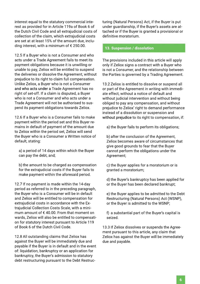interest equal to the statutory commercial interest as provided for in Article 119a of Book 6 of the Dutch Civil Code and all extraiudicial costs of collection of the claim, which extraiudicial costs are set at at least 15% of the amount due, including interest, with a minimum of € 250.00.

12.5 If a Buyer who is not a Consumer and who acts under a Trade Agreement fails to meet its payment obligations because it is unwilling or unable to pay, Zeliox will be entitled to suspend the deliveries or dissolve the Agreement, without prejudice to its right to claim full compensation. Unlike Zeliox, a Buyer who is not a Consumer and who acts under a Trade Agreement has no right of set-off. If a claim is disputed, a Buver who is not a Consumer and who acts under a Trade Agreement will not be authorised to suspend its payment obligations towards Zeliox.

12.6 If a Buver who is a Consumer fails to make payment within the period set and this Buyer remains in default of payment of the amount due to Zeliox within the period set. Zeliox will send the Buver who is a Consumer a Written notice of default, stating:

a) a period of 14 days within which the Buyer can pay the debt, and;

b) the amount to be charged as compensation for the extraiudicial costs if the Buyer fails to make payment within the aforesaid period.

12.7 If no payment is made within the 14-day period as referred to in the preceding paragraph. the Buver who is a Consumer will be in default and Zeliox will be entitled to compensation for extrajudicial costs in accordance with the Extraiudicial Collection Costs Scale, with a minimum amount of €40.00. From that moment on wards. Zeliox will also be entitled to compensation for statutory interest pursuant to Article 119 of Book 6 of the Dutch Civil Code.

12.8 All outstanding claims that Zeliox has against the Buver will be immediately due and payable if the Buyer is in default and in the event of: liquidation, bankruptcy or an application for bankruptcy, the Buyer's admission to statutory debt restructuring pursuant to the Debt Restructuring (Natural Persons) Act, if the Buyer is put under quardianship, if the Buyer's assets are attached or if the Buver is granted a provisional or definitive moratorium

#### 13. Suspension / dissolution

The provisions included in this article will apply only if Zeliox signs a contract with a Buver who is not a Consumer, and the relationship between the Parties is governed by a Trading Agreement.

13.2 Zeliox is entitled to dissolve or suspend all or part of the Agreement in writing with immediate effect, without a notice of default and without judicial intervention and without being obliged to pay any compensation, and without prejudice to Zeliox' right to demand performance instead of a dissolution or suspension and without prejudice to its right to compensation, if:

a) the Buyer fails to perform its obligations;

b) after the conclusion of the Agreement, Zeliox becomes aware of circumstances that give good grounds to fear that the Buver cannot perform the obligations under the Agreement;

c) the Buyer applies for a moratorium or is granted a moratorium:

d) the Buyer's bankruptcy has been applied for or the Buyer has been declared bankrupt;

e) the Buyer applies to be admitted to the Debt Restructuring (Natural Persons) Act (WSNP), or the Buyer is admitted to the WSNP;

f) a substantial part of the Buyer's capital is seized.

13.3 If Zeliox dissolves or suspends the Agreement pursuant to this article, any claim that Zeliox has against the Buyer will be immediately due and payable.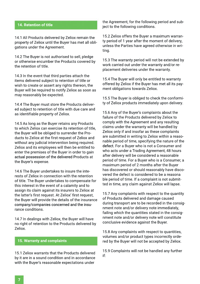#### **14. Retention of title**

14.1 All Products delivered by Zeliox remain the property of Zeliox until the Buyer has met all obligations under the Agreement.

14.2 The Buyer is not authorised to sell, pledge or otherwise encumber the Products covered by the retention of title

14.3 In the event that third parties attach the items delivered subject to retention of title or wish to create or assert any rights thereon, the Buver will be required to notify Zeliox as soon as may reasonably be expected.

14.4 The Buyer must store the Products delivered subject to retention of title with due care and as identifiable property of Zeliox.

14.5 As long as the Buyer retains any Products to which Zeliox can exercise its retention of title, the Buyer will be obliged to surrender the Products to Zeliox at the first request of Zeliox and without any judicial intervention being required. Zeliox and its employees will then be entitled to enter the premises of the Buyer in order to gain actual possession of the delivered Products at the Buyer's expense.

14.6 The Buver undertakes to insure the interests of Zeliox in connection with the retention of title. The Buyer undertakes to compensate for this interest in the event of a calamity and to assignits claim against its insurers to Zeliox at the latter's first request. At Zeliox' first request, the Buyer will provide the details of the insurance company/companies concerned and the insurance conditions.

14.7 In dealings with Zeliox, the Buyer will have no right of retention to the Products delivered by Zeliox.

#### **15. Warranty and complaints**

15.1 Zeliox warrants that the Products delivered by it are in a sound condition and in accordance with the Buyer's reasonable expectations under

the Agreement, for the following period and subject to the following conditions.

15.2 Zeliox offers the Buver a maximum warranty period of 1 year after the moment of delivery, unless the Parties have agreed otherwise in writing.

15.3 The warranty period will not be extended by work carried out under the warranty and/or replacement deliveries under the warranty.

15.4 The Buyer will only be entitled to warranty offered by Zeliox if the Buyer has met all its payment obligations towards Zeliox.

15.5 The Buyer is obliged to check the conformity of Zeliox products immediately upon delivery.

15.6 Any of the Buyer's complaints about the failure of the Products delivered by Zeliox to comply with the Agreement and any resulting claims under the warranty will be handled by Zeliox only if and insofar as these complaints are submitted in writing to Zeliox within a reasonable period of time, specifying the nature of the defect. For a Buver who is not a Consumer and who acts under a Trading Agreement, 48 hours after delivery will be considered a reasonable period of time. For a Buver who is a Consumer, a maximum period of 2 months after the Buyer has discovered or should reasonably have discovered the defect is considered to be a reasona ble period of time. If a complaint is not submitted in time, any claim against Zeliox will lapse.

15.7 Any complaints with respect to the quantity of Products delivered and damage caused during transport are to be recorded in the consignment note and/or delivery note immediately, failing which the quantities stated in the consignment note and/or delivery note will constitute conclusive evidence against the Buyer.

15.8 Any complaints with respect to quantities, volumes and/or product types incorrectly ordered by the Buyer will not be accepted by Zeliox.

15.9 Complaints will not be handled any further if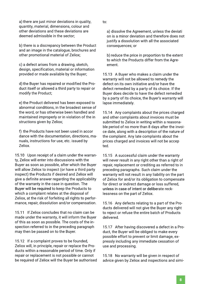a) there are just minor deviations in quality, quantity, material, dimensions, colour and other deviations and these deviations are deemed admissible in the sector:

b) there is a discrepancy between the Product and an image in the catalogue, brochures and other promotional material of Zeliox;

c) a defect arises from a drawing, sketch, design, specification, material or information provided or made available by the Buyer;

d) the Buver has repaired or modified the Product itself or allowed a third party to repair or modify the Product;

e) the Product delivered has been exposed to abnormal conditions, in the broadest sense of the word, or has otherwise been handled and maintained improperly or in violation of the in structions given by Zeliox;

f) the Products have not been used in accor dance with the documentation, directions, manuals, instructions for use, etc. issued by Zeliox.

15.10 Upon receipt of a claim under the warranty, Zeliox will enter into discussions with the Buyer as soon as possible, after which the Buyer will allow Zeliox to inspect (or have a third party inspect) the Products if desired and Zeliox will give a definite answer regarding the applicability of the warranty in the case in question. The Buyer will be required to keep the Products to which a complaint relates at the disposal of Zeliox, at the risk of forfeiting all rights to performance, repair, dissolution and/or compensation.

15.11 If Zeliox concludes that no claim can be made under the warranty, it will inform the Buyer of this as soon as possible. The costs of the inspection referred to in the preceding paragraph may then be passed on to the Buyer.

15.12 If a complaint proves to be founded. Zeliox will, in principle, repair or replace the Products within a reasonable period of time. Only if repair or replacement is not possible or cannot be required of Zeliox will the Buyer be authorised to:

a) dissolve the Agreement, unless the deviati on is a minor deviation and therefore does not justify a dissolution with all the associated consequences;or

b) reduce the price in proportion to the extent to which the Products differ from the Agreement.

15.13 A Buver who makes a claim under the warranty will not be allowed to remedy the defect on its own initiative and/or have the defect remedied by a party of its choice. If the Buyer does decide to have the defect remedied by a party of its choice, the Buyer's warranty will lapse immediately.

15.14 Any complaints about the prices charged and other complaints about invoices must be submitted to Zeliox in writing within a reasonable period of no more than 8 days after the invoice date, along with a description of the nature of the complaint. Any late complaints about the prices charged and invoices will not be accep ted.

15.15 A successful claim under the warranty will never result in any right other than a right of repair, replacement or crediting as referred to in preceding paragraphs. Such claim under the warranty will not result in any liability on the part of Zeliox for and/or its obligation to compensate for direct or indirect damage or loss suffered. unless in case of intent or deliberate recklessness on the part of Zeliox.

15.16 Any defects relating to a part of the Products delivered will not give the Buyer any right to reject or refuse the entire batch of Products delivered.

15.17 After having discovered a defect in a Product, the Buyer will be obliged to make every possible effort to prevent or limit damage, expressly including any immediate cessation of use and processing.

15.18 No warranty will be given in respect of advice given by Zeliox and inspections and simi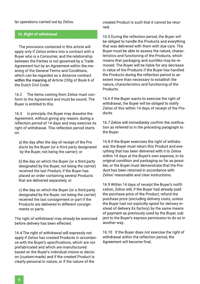lar operations carried out by Zeliox.

#### **16. Right of withdrawal**

The provisions contained in this article will apply only if Zeliox enters into a contract with a Buyer who is a Consumer, and the relationship between the Parties is not governed by a Trade Agreement but by an Agreement within the meaning of the General Terms and Conditions, which can be regarded as a distance contract within the meaning of Article 230g of Book 6 of the Dutch Civil Code

16.2 The items coming from Zeliox must conform to the Agreement and must be sound. The Buver is entitled to this.

16.3 In principle, the Buyer may dissolve the Agreement, without giving any reason, during a reflection period of 14 days and may exercise its right of withdrawal. This reflection period starts on:

a) the day after the day of receipt of the Pro ducts by the Buyer (or a third party designated by the Buyer, not being the carrier); or

b) the day on which the Buyer (or a third party designated by the Buyer, not being the carrier) received the last Product, if the Buyer has placed an order containing several Products that are delivered separately; or

c) the day on which the Buyer (or a third party designated by the Buyer, not being the carrier) received the last consignment or part if the Products are delivered in different consignments or parts.

The right of withdrawal may already be exercised before delivery has been effected.

16.4 The right of withdrawal will expressly not apply if Zeliox has created Products in accordance with the Buyer's specifications, which are not prefabricated and which are manufactured based on the Buver's individual choice or decision (custom-made) and if the created Product is clearly personal in nature, or if the nature of the

created Product is such that it cannot be returned.

16.5 During the reflection period, the Buyer will be obliged to handle the Products and everything that was delivered with them with due care. The Buyer must be able to assess the nature, characteristics and functioning of the Products, which means that packaging and suchlike may be removed. The Buyer will be liable for any decrease in value of the Products if the Buver has handled the Products during the reflection period to an extent more than necessary to establish the nature, characteristics and functioning of the Products.

16.6 If the Buver wants to exercise the right of withdrawal, the Buyer will be obliged to notify Zeliox of this within 14 days of receipt of the Products.

16.7 Zeliox will immediately confirm the notification as referred to in the preceding paragraph to the Buver.

16.8 If the Buyer exercises the right of withdrawal, the Buyer must return this Product and everything that has been delivered with it to Zeliox within 14 days at the Buyer's own expense, in its original condition and packaging as far as possible, or the Buyer must demonstrate that the Product has been returned in accordance with Zeliox'reasonableandclearinstructions.

16.9 Within 14 days of receipt the Buyer's notification, Zeliox will, if the Buver had already paid the purchase price of the Product, refund the purchase price (excluding delivery costs, unless the Buyer had not explicitly opted for delivery instead of delivery Ex factory) by the same means of payment as previously used by the Buyer, sub ject to the Buyer's express permission to do so in another way.

16.10 If the Buyer does not exercise the right of withdrawal within the reflection period, the Agreement will become final.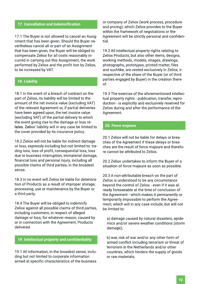#### **17. Cancellation and indemnification**

17.1 The Buyer is not allowed to cancel an Assignment that has been given. Should the Buver nevertheless cancel all or part of an Assignment that has been given, the Buver will be obliged to compensate Zeliox for all costs reasonably incurred in carrying out this Assignment, the work performed by Zeliox and the profit lost by Zeliox, to be increased by VAT.

#### **18.Liability**

18.1 In the event of a breach of contract on the part of Zeliox, its liability will be limited to the amount of the net invoice value (excluding VAT) of the relevant Agreement or, if partial deliveries have been agreed upon, the net invoice value (excluding VAT) of the partial delivery to which the event giving rise to the damage or loss relates. Zeliox' liability will in any case be limited to the cover provided by its insurance policy.

18.2 Zeliox will not be liable for indirect damage or loss, expressly including but not limited to: trading loss, loss of profit, consequential loss, loss due to business interruption, immaterial damage, financial loss and personal injury, including all possible claims of third parties, in the broadest sense.

18.3 In no event will Zeliox be liable for deterioration of Products as a result of improper storage. processing, use or maintenance by the Buyer or a third party.

18.4 The Buyer will be obliged to indemnify Zeliox against all possible claims of third parties, including customers, in respect of alleged damage or loss, for whatever reason, caused by or in connection with the Agreement, Products delivered.

#### **19. Intellectual property and confidentiality**

19.1 All information, in the broadest sense, including but not limited to corporate information aimed at specific characteristics of the business

or company of Zeliox (work process, procedure and pricing), which Zeliox provides to the Buyer within the framework of negotiations or the Agreement will be strictly personal and confidential.

19.2 All intellectual property rights relating to Zeliox Products, but also other items, designs, working methods, models, images, drawings, photographs, prototypes, printed matter, files and suchlike, are vested exclusively in Zeliox, irrespective of the share of the Buyer (or of third parties engaged by Buyer) in the creation thereof.

19.3 The exercise of the aforementioned intellectual property rights - publication, transfer, reproduction - is explicitly and exclusively reserved for Zeliox during and after the performance of the Agreement.

#### **20.Forcemajeure**

20.1 Zeliox will not be liable for delays or breaches of the Agreement if these delays or breaches are the result of force majeure and therefore cannot be attributed to Zeliox.

20.2 Zeliox undertakes to inform the Buver of a situation of force majeure as soon as possible.

20.3 A non-attributable breach on the part of Zeliox is understood to be any circumstance beyond the control of Zeliox - even if it was already foreseeable at the time of conclusion of the Agreement - which makes it permanently or temporarily impossible to perform the Agreement, which will in any case include, but will not be limited to:

a) damage caused by natural disasters, epidemics and/or severe weather conditions (storm damage);

b) war, risk of war and/or any other form of armed conflict including terrorism or threat of terrorism in the Netherlands and/or other countries, which hinders the supply of goods or raw materials: